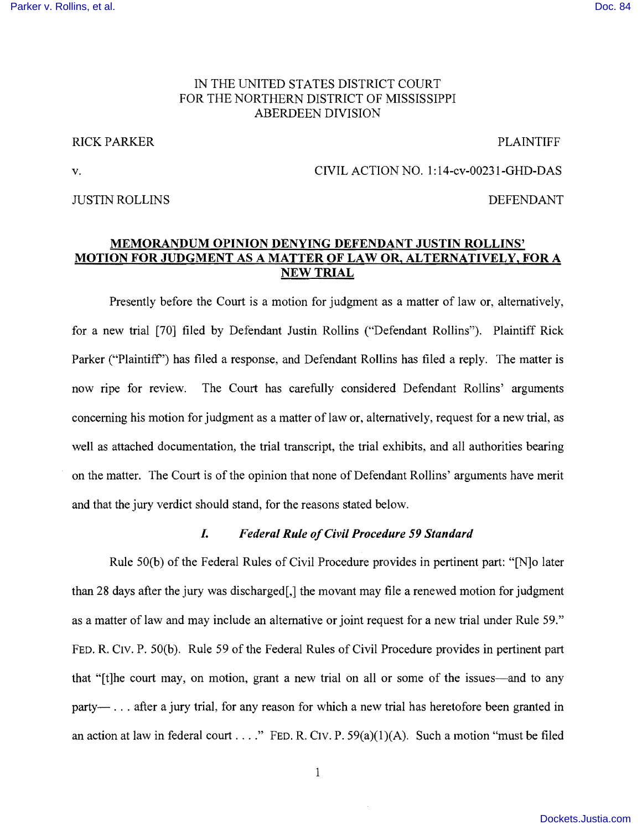# IN THE UNITED STATES DISTRICT COURT FOR THE NORTHERN DISTRICT OF MISSISSIPPI ABERDEEN DIVISION

## RICK PARKER PLAINTIFF

#### JUSTIN ROLLINS DEFENDANT

# v. CIVIL ACTION NO. 1:14-cv-00231-GHD-DAS

# MEMORANDUM OPINION DENYING DEFENDANT JUSTIN ROLLINS' MOTION FOR JUDGMENT AS A MATTER OF LAW OR, ALTERNATIVELY, FOR A NEW TRIAL

Presently before the Court is a motion for judgment as a matter of law or, alternatively, for a new trial [70] filed by Defendant Justin Rollins ("Defendant Rollins"). Plaintiff Rick Parker ("Plaintiff") has filed a response, and Defendant Rollins has filed a reply. The matter is now ripe for review. The Court has carefully considered Defendant Rollins' arguments concerning his motion for judgment as a matter of law or, alternatively, request for a new trial, as well as attached documentation, the trial transcript, the trial exhibits, and all authorities bearing on the matter. The Court is of the opinion that none of Defendant Rollins' arguments have merit and that the jury verdict should stand, for the reasons stated below.

## *I. Federal Rule o/Civil Procedure* 59 *Standard*

Rule 50(b) of the Federal Rules of Civil Procedure provides in pertinent part: "[N]o later than 28 days after the jury was discharged[,] the movant may file a renewed motion for judgment as a matter of law and may include an alternative or joint request for a new trial under Rule 59." FED. R. ClV. P. 50(b). Rule 59 of the Federal Rules of Civil Procedure provides in pertinent part that "[t]he court may, on motion, grant a new trial on all or some of the issues—and to any party—... after a jury trial, for any reason for which a new trial has heretofore been granted in an action at law in federal court . . . ." FED. R. CIV. P.  $59(a)(1)(A)$ . Such a motion "must be filed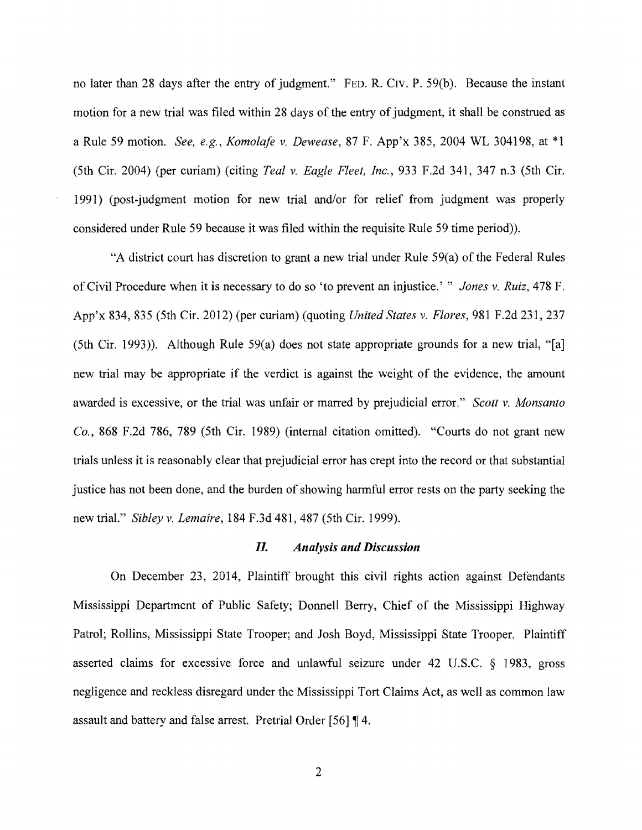no later than 28 days after the entry of judgment." FED. R. CIV. P. 59(b). Because the instant motion for a new trial was filed within 28 days of the entry of judgment, it shall be construed as a Rule 59 motion. *See, e.g., KomolaJe* v. *Dewease,* 87 F. App'x 385, 2004 WL 304198, at \*1 (5th Cir. 2004) (per curiam) (citing *Teal* v. *Eagle Fleet, Inc.,* 933 F.2d 34 I, 347 n.3 (5th Cir. 1991) (post-judgment motion for new trial and/or for relief from judgment was properly considered under Rule 59 because it was filed within the requisite Rule 59 time period)).

"A district court has discretion to grant a new trial under Rule 59(a) of the Federal Rules of Civil Procedure when it is necessary to do so 'to prevent an injustice.' " *Jones* v. *Ruiz,* 478 F. App'x 834, 835 (5th Cir. 2012) (per curiam) (quoting *United States* v. *Flores,* 981 F.2d 231, 237 (5th Cir. 1993)). Although Rule  $59(a)$  does not state appropriate grounds for a new trial, "[a] new trial may be appropriate if the verdict is against the weight of the evidence, the amount awarded is excessive, or the trial was unfair or marred by prejudicial error." *Scott* v. *Monsanto Co.,* 868 F.2d 786, 789 (5th Cir. 1989) (internal citation omitted). "Courts do not grant new trials unless **it** is reasonably clear that prejudicial error has crept into the record or that substantial justice has not been done, and the burden of showing harmful error rests on the party seeking the new trial." *Sibley* v. *Lemaire,* 184 F.3d 481,487 (5th Cir. 1999).

## *IL Analysis and Discussion*

On December 23, 2014, Plaintiff brought this civil rights action against Defendants Mississippi Department of Public Safety; Donnell Berry, Chief of the Mississippi Highway Patrol; Rollins, Mississippi State Trooper; and Josh Boyd, Mississippi State Trooper. Plaintiff asserted claims for excessive force and unlawful seizure under 42 U.S.C. § 1983, gross negligence and reckless disregard under the Mississippi Tort Claims Act, as well as common law assault and battery and false arrest. Pretrial Order [56] 4.

2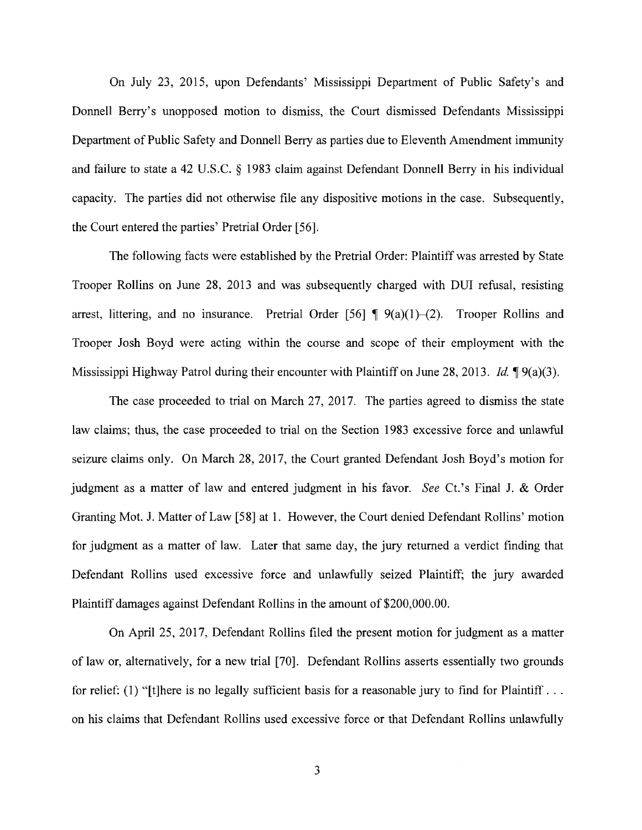On July 23, 2015, upon Defendants' Mississippi Department of Public Safety's and Donnell Berry's unopposed motion to dismiss, the Court dismissed Defendants Mississippi Department of Public Safety and Donnell Berry as parties due to Eleventh Amendment immunity and failure to state a 42 U.S.C. § 1983 claim against Defendant Donnell Berry in his individual capacity. The parties did not otherwise file any dispositive motions in the case. Subsequently, the Court entered the parties' Pretrial Order [56].

The following facts were established by the Pretrial Order: Plaintiff was arrested by State Trooper Rollins on June 28, 2013 and was subsequently charged with DUI refusal, resisting arrest, littering, and no insurance. Pretrial Order  $[56] \P (9(a)(1)–(2)$ . Trooper Rollins and Trooper Josh Boyd were acting within the course and scope of their employment with the Mississippi Highway Patrol during their encounter with Plaintiff on June 28, 2013. *Id.* **9**(a)(3).

The case proceeded to trial on March 27, 2017. The parties agreed to dismiss the state law claims; thus, the case proceeded to trial on the Section 1983 excessive force and unlawful seizure claims only. On March 28, 2017, the Court granted Defendant Josh Boyd's motion for judgment as a matter of law and entered judgment in his favor. See Ct.'s Final J. & Order Granting Mot. J. Matter of Law [58] at 1. However, the Court denied Defendant Rollins' motion for judgment as a matter of law. Later that same day, the jury returned a verdict finding that Defendant Rollins used excessive force and unlawfully seized Plaintiff; the jury awarded Plaintiff damages against Defendant Rollins in the amount of \$200,000.00.

On April 25, 2017, Defendant Rollins filed the present motion for judgment as a matter of law or, alternatively, for a new trial [70]. Defendant Rollins asserts essentially two grounds for relief: (1) "[t] here is no legally sufficient basis for a reasonable jury to find for Plaintiff... on his claims that Defendant Rollins used excessive force or that Defendant Rollins unlawfully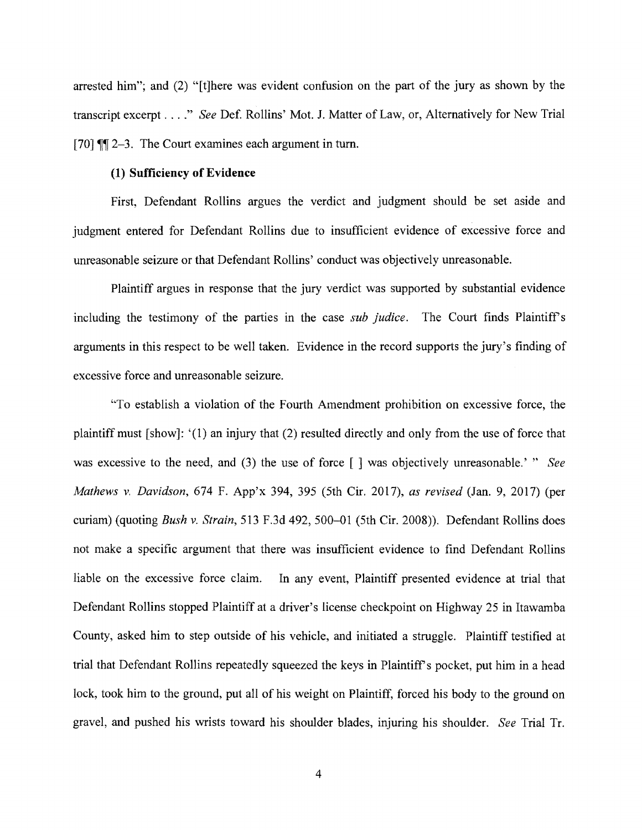arrested him"; and (2) "[t]here was evident confusion on the part of the jury as shown by the transcript excerpt ...." *See* Def. Rollins' Mot. J. Matter of Law, or, Alternatively for New Trial [70]  $\P$ [2-3. The Court examines each argument in turn.

## (1) Sufficiency of Evidence

First, Defendant Rollins argues the verdict and judgment should be set aside and judgment entered for Defendant Rollins due to insufficient evidence of excessive force and unreasonable seizure or that Defendant Rollins' conduct was objectively unreasonable.

Plaintiff argues in response that the jury verdict was supported by substantial evidence including the testimony of the parties in the case *sub judice.* The Court finds Plaintiff's arguments in this respect to be well taken. Evidence in the record supports the jury's finding of excessive force and unreasonable seizure.

"To establish a violation of the Fourth Amendment prohibition on excessive force, the plaintiff must [show]: '(1) an injury that (2) resulted directly and only from the use of force that was excessive to the need, and (3) the use of force  $\lceil \cdot \rceil$  was objectively unreasonable.'" See *Mathews* v. *Davidson,* 674 F. App'x 394, 395 (5th CiT. 2017), *as revised* (Jan. 9, 2017) (per curiam) (quoting *Bush v. Strain*, 513 F.3d 492, 500-01 (5th Cir. 2008)). Defendant Rollins does not make a specific argument that there was insufficient evidence to find Defendant Rollins liable on the excessive force claim. In any event, Plaintiff presented evidence at trial that Defendant Rollins stopped Plaintiff at a driver's license checkpoint on Highway 25 in Itawamba County, asked him to step outside of his vehicle, and initiated a struggle. Plaintiff testified at trial that Defendant Rollins repeatedly squeezed the keys in Plaintiff's pocket, put him in a head lock, took him to the ground, put all of his weight on Plaintiff, forced his body to the ground on gravel, and pushed his wrists toward his shoulder blades, injuring his shoulder. *See* Trial Tr.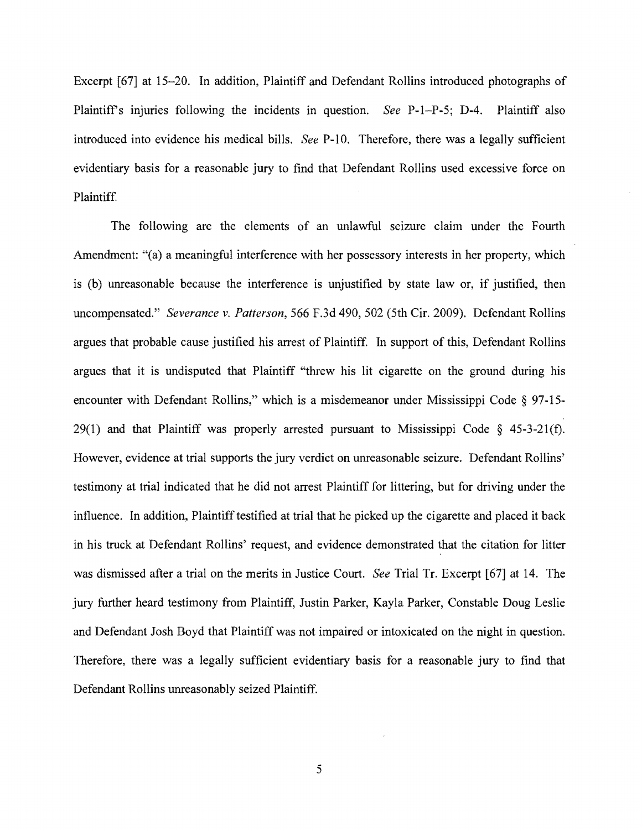Excerpt [67] at 15–20. In addition, Plaintiff and Defendant Rollins introduced photographs of Plaintiff's injuries following the incidents in question. *See* P-1-P-5; D-4. Plaintiff also introduced into evidence his medical bills. *See* P-10. Therefore, there was a legally sufficient evidentiary basis for a reasonable jury to find that Defendant Rollins used excessive force on Plaintiff.

The following are the elements of an unlawful seizure claim under the Fourth Amendment: "(a) a meaningful interference with her possessory interests in her property, which is (b) unreasonable because the interference is unjustified by state law or, if justified, then uncompensated." *Severance v. Patterson,* 566 F.3d 490, 502 (5th Cir. 2009). Defendant Rollins argues that probable cause justified his arrest of Plaintiff. In support of this, Defendant Rollins argues that it is undisputed that Plaintiff "threw his lit cigarette on the ground during his encounter with Defendant Rollins," which is a misdemeanor under Mississippi Code  $\S$  97-15-29(1) and that Plaintiff was properly arrested pursuant to Mississippi Code  $\S$  45-3-21(f). However, evidence at trial supports the jury verdict on unreasonable seizure. Defendant Rollins' testimony at trial indicated that he did not arrest Plaintiff for littering, but for driving under the influence. In addition, Plaintiff testified at trial that he picked up the cigarette and placed it back in his truck at Defendant Rollins' request, and evidence demonstrated that the citation for litter was dismissed after a trial on the merits in Justice Court. *See* Trial Tr. Excerpt [67] at 14. The jury further heard testimony from Plaintiff, Justin Parker, Kayla Parker, Constable Doug Leslie and Defendant Josh Boyd that Plaintiff was not impaired or intoxicated on the night in question. Therefore, there was a legally sufficient evidentiary basis for a reasonable jury to find that Defendant Rollins unreasonably seized Plaintiff.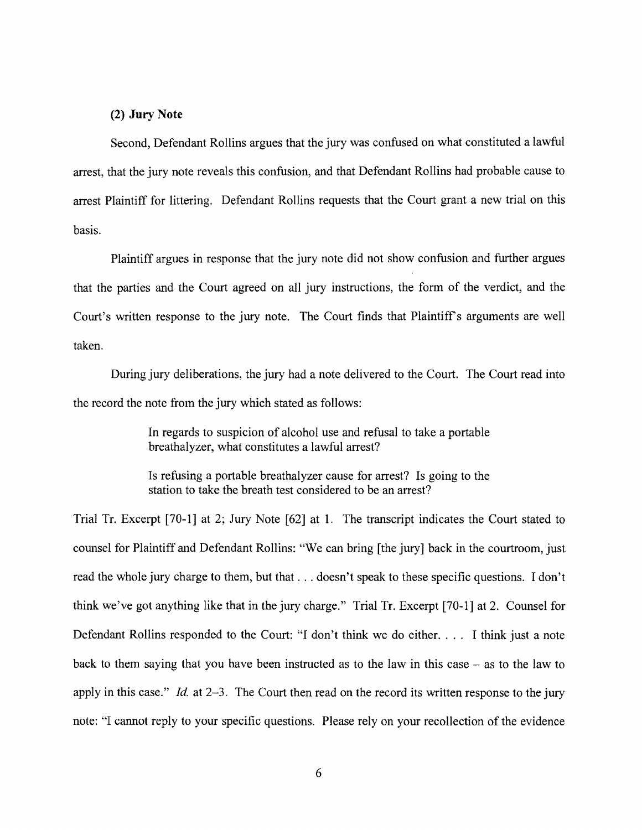## **(2) Jury Note**

Second, Defendant Rollins argues that the jury was confused on what constituted a lawful arrest, that the jury note reveals this confusion, and that Defendant Rollins had probable cause to arrest Plaintiff for littering. Defendant Rollins requests that the Court grant a new trial on this basis.

Plaintiff argues in response that the jury note did not show confusion and further argues that the parties and the Court agreed on all jury instructions, the fonn of the verdict, and the Court's written response to the jury note. The Court finds that Plaintiff's arguments are well taken.

During jury deliberations, the jury had a note delivered to the Court. The Court read into the record the note from the jury which stated as follows:

> In regards to suspicion of alcohol use and refusal to take a portable breathalyzer, what constitutes a lawful arrest?

> Is refusing a portable breathalyzer cause for arrest? Is going to the station to take the breath test considered to be an arrest?

Trial Tr. Excerpt [70-1] at 2; Jury Note [62] at 1. The transcript indicates the Court stated to counsel for Plaintiff and Defendant Rollins: "We can bring [the jury] back in the courtroom, just read the whole jury charge to them, but that ... doesn't speak to these specific questions. I don't think we've got anything like that in the jury charge." Trial Tr. Excerpt [70-1] at 2. Counsel for Defendant Rollins responded to the Court: "I don't think we do either. . . . I think just a note back to them saying that you have been instructed as to the law in this case  $-$  as to the law to apply in this case." *Id.* at 2-3. The Court then read on the record its written response to the jury note: "I cannot reply to your specific questions. Please rely on your recollection of the evidence